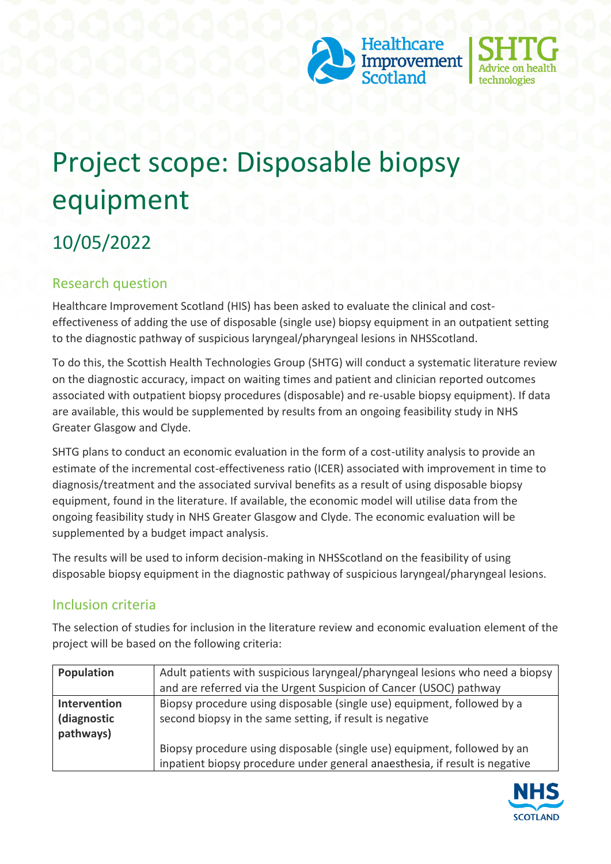



# Project scope: Disposable biopsy equipment

# 10/05/2022

## Research question

Healthcare Improvement Scotland (HIS) has been asked to evaluate the clinical and costeffectiveness of adding the use of disposable (single use) biopsy equipment in an outpatient setting to the diagnostic pathway of suspicious laryngeal/pharyngeal lesions in NHSScotland.

To do this, the Scottish Health Technologies Group (SHTG) will conduct a systematic literature review on the diagnostic accuracy, impact on waiting times and patient and clinician reported outcomes associated with outpatient biopsy procedures (disposable) and re-usable biopsy equipment). If data are available, this would be supplemented by results from an ongoing feasibility study in NHS Greater Glasgow and Clyde.

SHTG plans to conduct an economic evaluation in the form of a cost-utility analysis to provide an estimate of the incremental cost-effectiveness ratio (ICER) associated with improvement in time to diagnosis/treatment and the associated survival benefits as a result of using disposable biopsy equipment, found in the literature. If available, the economic model will utilise data from the ongoing feasibility study in NHS Greater Glasgow and Clyde. The economic evaluation will be supplemented by a budget impact analysis.

The results will be used to inform decision-making in NHSScotland on the feasibility of using disposable biopsy equipment in the diagnostic pathway of suspicious laryngeal/pharyngeal lesions.

#### Inclusion criteria

The selection of studies for inclusion in the literature review and economic evaluation element of the project will be based on the following criteria:

| Population   | Adult patients with suspicious laryngeal/pharyngeal lesions who need a biopsy<br>and are referred via the Urgent Suspicion of Cancer (USOC) pathway |
|--------------|-----------------------------------------------------------------------------------------------------------------------------------------------------|
|              |                                                                                                                                                     |
| Intervention | Biopsy procedure using disposable (single use) equipment, followed by a                                                                             |
| (diagnostic  | second biopsy in the same setting, if result is negative                                                                                            |
| pathways)    |                                                                                                                                                     |
|              | Biopsy procedure using disposable (single use) equipment, followed by an                                                                            |
|              | inpatient biopsy procedure under general anaesthesia, if result is negative                                                                         |

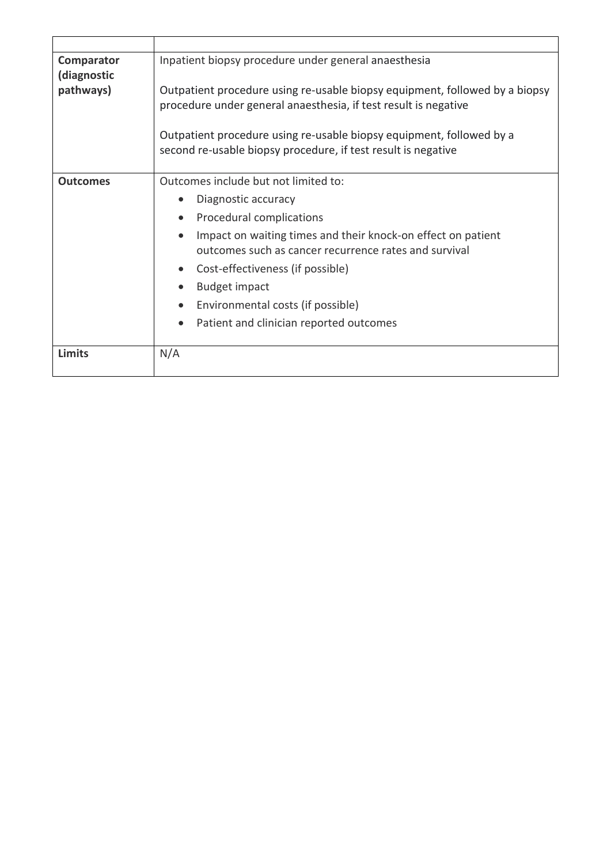| Comparator<br>(diagnostic | Inpatient biopsy procedure under general anaesthesia                                                                                           |
|---------------------------|------------------------------------------------------------------------------------------------------------------------------------------------|
| pathways)                 | Outpatient procedure using re-usable biopsy equipment, followed by a biopsy<br>procedure under general anaesthesia, if test result is negative |
|                           | Outpatient procedure using re-usable biopsy equipment, followed by a<br>second re-usable biopsy procedure, if test result is negative          |
| <b>Outcomes</b>           | Outcomes include but not limited to:                                                                                                           |
|                           | Diagnostic accuracy                                                                                                                            |
|                           | Procedural complications                                                                                                                       |
|                           | Impact on waiting times and their knock-on effect on patient<br>outcomes such as cancer recurrence rates and survival                          |
|                           | Cost-effectiveness (if possible)<br>$\bullet$                                                                                                  |
|                           | <b>Budget impact</b>                                                                                                                           |
|                           | Environmental costs (if possible)                                                                                                              |
|                           | Patient and clinician reported outcomes                                                                                                        |
| Limits                    | N/A                                                                                                                                            |